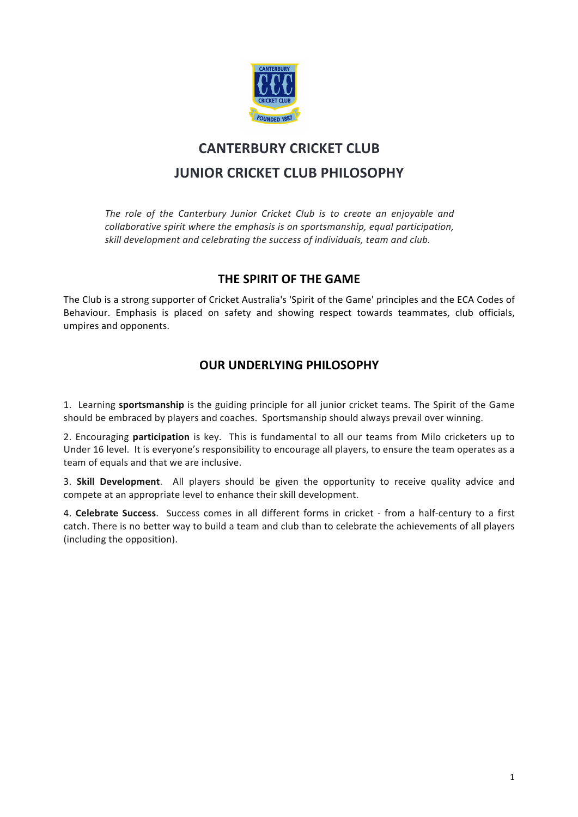

# **CANTERBURY CRICKET CLUB JUNIOR CRICKET CLUB PHILOSOPHY**

The role of the Canterbury Junior Cricket Club is to create an enjoyable and *collaborative spirit where the emphasis is on sportsmanship, equal participation, skill development and celebrating the success of individuals, team and club.* 

## **THE SPIRIT OF THE GAME**

The Club is a strong supporter of Cricket Australia's 'Spirit of the Game' principles and the ECA Codes of Behaviour. Emphasis is placed on safety and showing respect towards teammates, club officials, umpires and opponents.

## **OUR UNDERLYING PHILOSOPHY**

1. Learning **sportsmanship** is the guiding principle for all junior cricket teams. The Spirit of the Game should be embraced by players and coaches. Sportsmanship should always prevail over winning.

2. Encouraging **participation** is key. This is fundamental to all our teams from Milo cricketers up to Under 16 level. It is everyone's responsibility to encourage all players, to ensure the team operates as a team of equals and that we are inclusive.

3. **Skill Development**. All players should be given the opportunity to receive quality advice and compete at an appropriate level to enhance their skill development.

4. **Celebrate Success**. Success comes in all different forms in cricket - from a half-century to a first catch. There is no better way to build a team and club than to celebrate the achievements of all players (including the opposition).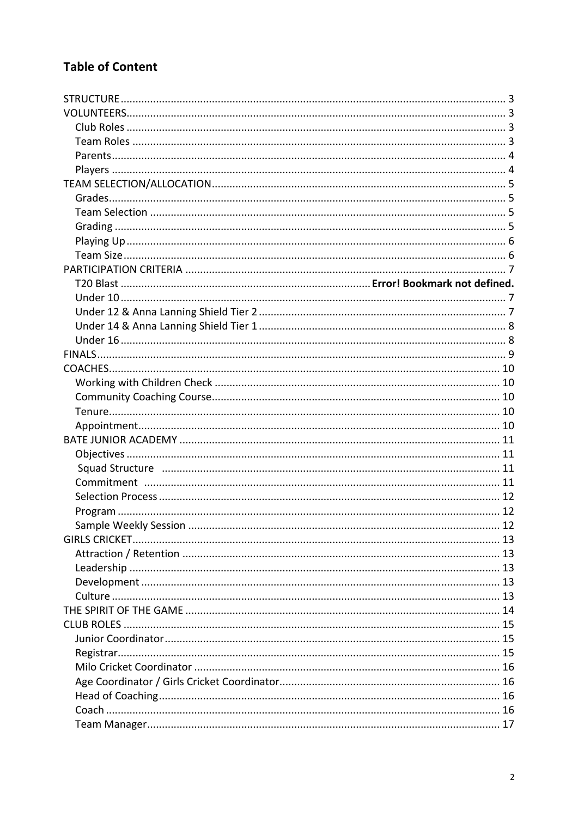## **Table of Content**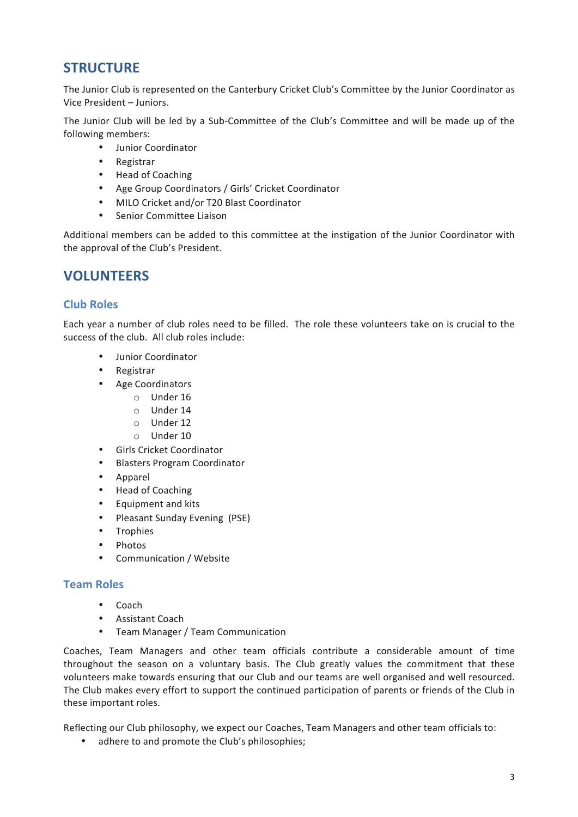## **STRUCTURE**

The Junior Club is represented on the Canterbury Cricket Club's Committee by the Junior Coordinator as Vice President - Juniors.

The Junior Club will be led by a Sub-Committee of the Club's Committee and will be made up of the following members:

- Junior Coordinator
- Registrar
- Head of Coaching
- Age Group Coordinators / Girls' Cricket Coordinator
- MILO Cricket and/or T20 Blast Coordinator
- Senior Committee Liaison

Additional members can be added to this committee at the instigation of the Junior Coordinator with the approval of the Club's President.

## **VOLUNTEERS**

#### **Club Roles**

Each year a number of club roles need to be filled. The role these volunteers take on is crucial to the success of the club. All club roles include:

- Junior Coordinator
- Registrar
- Age Coordinators
	- o Under 16
	- o Under 14
	- $O$  Under 12
	- $O$  Under 10
- Girls Cricket Coordinator
- **Blasters Program Coordinator**
- Apparel
- Head of Coaching
- Equipment and kits
- Pleasant Sunday Evening (PSE)
- Trophies
- Photos
- Communication / Website

#### **Team Roles**

- Coach
- Assistant Coach
- Team Manager / Team Communication

Coaches, Team Managers and other team officials contribute a considerable amount of time throughout the season on a voluntary basis. The Club greatly values the commitment that these volunteers make towards ensuring that our Club and our teams are well organised and well resourced. The Club makes every effort to support the continued participation of parents or friends of the Club in these important roles.

Reflecting our Club philosophy, we expect our Coaches, Team Managers and other team officials to:

• adhere to and promote the Club's philosophies;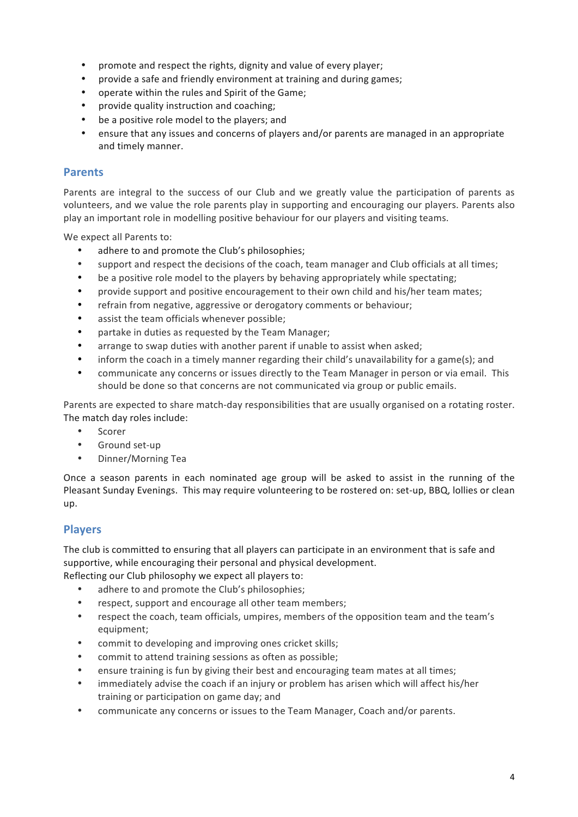- promote and respect the rights, dignity and value of every player;
- provide a safe and friendly environment at training and during games;
- operate within the rules and Spirit of the Game:
- provide quality instruction and coaching:
- be a positive role model to the players; and
- ensure that any issues and concerns of players and/or parents are managed in an appropriate and timely manner.

#### **Parents**

Parents are integral to the success of our Club and we greatly value the participation of parents as volunteers, and we value the role parents play in supporting and encouraging our players. Parents also play an important role in modelling positive behaviour for our players and visiting teams.

We expect all Parents to:

- adhere to and promote the Club's philosophies:
- support and respect the decisions of the coach, team manager and Club officials at all times;
- be a positive role model to the players by behaving appropriately while spectating;
- provide support and positive encouragement to their own child and his/her team mates;
- refrain from negative, aggressive or derogatory comments or behaviour;
- assist the team officials whenever possible;
- partake in duties as requested by the Team Manager;
- arrange to swap duties with another parent if unable to assist when asked;
- inform the coach in a timely manner regarding their child's unavailability for a game(s); and
- communicate any concerns or issues directly to the Team Manager in person or via email. This should be done so that concerns are not communicated via group or public emails.

Parents are expected to share match-day responsibilities that are usually organised on a rotating roster. The match day roles include:

- Scorer
- Ground set-up
- Dinner/Morning Tea

Once a season parents in each nominated age group will be asked to assist in the running of the Pleasant Sunday Evenings. This may require volunteering to be rostered on: set-up, BBQ, lollies or clean up.

### **Players**

The club is committed to ensuring that all players can participate in an environment that is safe and supportive, while encouraging their personal and physical development.

Reflecting our Club philosophy we expect all players to:

- adhere to and promote the Club's philosophies;
- respect, support and encourage all other team members;
- respect the coach, team officials, umpires, members of the opposition team and the team's equipment;
- commit to developing and improving ones cricket skills;
- commit to attend training sessions as often as possible;
- ensure training is fun by giving their best and encouraging team mates at all times;
- immediately advise the coach if an injury or problem has arisen which will affect his/her training or participation on game day; and
- communicate any concerns or issues to the Team Manager, Coach and/or parents.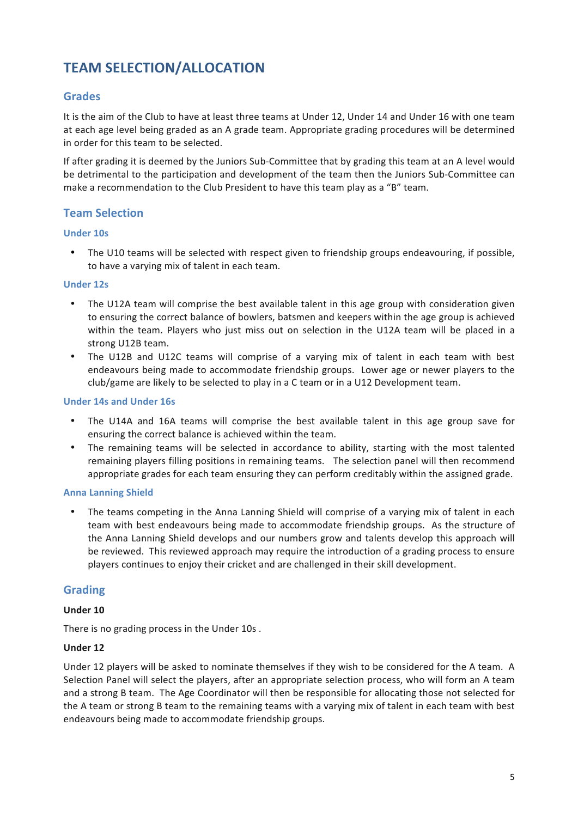## **TEAM SELECTION/ALLOCATION**

### **Grades**

It is the aim of the Club to have at least three teams at Under 12, Under 14 and Under 16 with one team at each age level being graded as an A grade team. Appropriate grading procedures will be determined in order for this team to be selected.

If after grading it is deemed by the Juniors Sub-Committee that by grading this team at an A level would be detrimental to the participation and development of the team then the Juniors Sub-Committee can make a recommendation to the Club President to have this team play as a "B" team.

### **Team Selection**

#### **Under 10s**

• The U10 teams will be selected with respect given to friendship groups endeavouring, if possible, to have a varying mix of talent in each team.

#### **Under 12s**

- The U12A team will comprise the best available talent in this age group with consideration given to ensuring the correct balance of bowlers, batsmen and keepers within the age group is achieved within the team. Players who just miss out on selection in the U12A team will be placed in a strong U12B team.
- The U12B and U12C teams will comprise of a varying mix of talent in each team with best endeavours being made to accommodate friendship groups. Lower age or newer players to the  $\frac{1}{\pi}$  club/game are likely to be selected to play in a C team or in a U12 Development team.

#### **Under 14s and Under 16s**

- The U14A and 16A teams will comprise the best available talent in this age group save for ensuring the correct balance is achieved within the team.
- The remaining teams will be selected in accordance to ability, starting with the most talented remaining players filling positions in remaining teams. The selection panel will then recommend appropriate grades for each team ensuring they can perform creditably within the assigned grade.

#### **Anna Lanning Shield**

The teams competing in the Anna Lanning Shield will comprise of a varying mix of talent in each team with best endeavours being made to accommodate friendship groups. As the structure of the Anna Lanning Shield develops and our numbers grow and talents develop this approach will be reviewed. This reviewed approach may require the introduction of a grading process to ensure players continues to enjoy their cricket and are challenged in their skill development.

### **Grading**

#### **Under 10**

There is no grading process in the Under 10s.

### **Under 12**

Under 12 players will be asked to nominate themselves if they wish to be considered for the A team. A Selection Panel will select the players, after an appropriate selection process, who will form an A team and a strong B team. The Age Coordinator will then be responsible for allocating those not selected for the A team or strong B team to the remaining teams with a varying mix of talent in each team with best endeavours being made to accommodate friendship groups.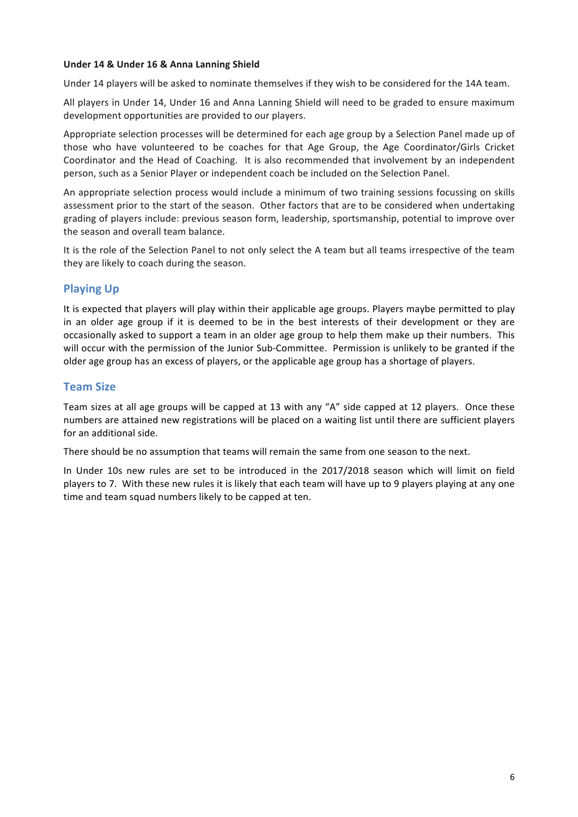#### Under 14 & Under 16 & Anna Lanning Shield

Under 14 players will be asked to nominate themselves if they wish to be considered for the 14A team.

All players in Under 14, Under 16 and Anna Lanning Shield will need to be graded to ensure maximum development opportunities are provided to our players.

Appropriate selection processes will be determined for each age group by a Selection Panel made up of those who have volunteered to be coaches for that Age Group, the Age Coordinator/Girls Cricket Coordinator and the Head of Coaching. It is also recommended that involvement by an independent person, such as a Senior Player or independent coach be included on the Selection Panel.

An appropriate selection process would include a minimum of two training sessions focussing on skills assessment prior to the start of the season. Other factors that are to be considered when undertaking grading of players include: previous season form, leadership, sportsmanship, potential to improve over the season and overall team balance.

It is the role of the Selection Panel to not only select the A team but all teams irrespective of the team they are likely to coach during the season.

### **Playing Up**

It is expected that players will play within their applicable age groups. Players maybe permitted to play in an older age group if it is deemed to be in the best interests of their development or they are occasionally asked to support a team in an older age group to help them make up their numbers. This will occur with the permission of the Junior Sub-Committee. Permission is unlikely to be granted if the older age group has an excess of players, or the applicable age group has a shortage of players.

### **Team Size**

Team sizes at all age groups will be capped at 13 with any "A" side capped at 12 players. Once these numbers are attained new registrations will be placed on a waiting list until there are sufficient players for an additional side.

There should be no assumption that teams will remain the same from one season to the next.

In Under 10s new rules are set to be introduced in the 2017/2018 season which will limit on field players to 7. With these new rules it is likely that each team will have up to 9 players playing at any one time and team squad numbers likely to be capped at ten.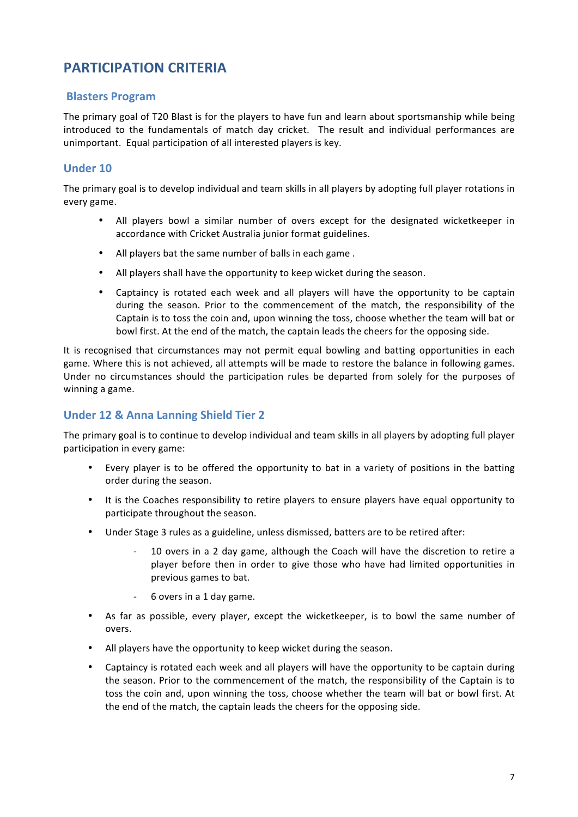## **PARTICIPATION CRITERIA**

#### **Blasters Program**

The primary goal of T20 Blast is for the players to have fun and learn about sportsmanship while being introduced to the fundamentals of match day cricket. The result and individual performances are unimportant. Equal participation of all interested players is key.

### **Under 10**

The primary goal is to develop individual and team skills in all players by adopting full player rotations in every game.

- All players bowl a similar number of overs except for the designated wicketkeeper in accordance with Cricket Australia junior format guidelines.
- All players bat the same number of balls in each game.
- All players shall have the opportunity to keep wicket during the season.
- Captaincy is rotated each week and all players will have the opportunity to be captain during the season. Prior to the commencement of the match, the responsibility of the Captain is to toss the coin and, upon winning the toss, choose whether the team will bat or bowl first. At the end of the match, the captain leads the cheers for the opposing side.

It is recognised that circumstances may not permit equal bowling and batting opportunities in each game. Where this is not achieved, all attempts will be made to restore the balance in following games. Under no circumstances should the participation rules be departed from solely for the purposes of winning a game.

### **Under 12 & Anna Lanning Shield Tier 2**

The primary goal is to continue to develop individual and team skills in all players by adopting full player participation in every game:

- Every player is to be offered the opportunity to bat in a variety of positions in the batting order during the season.
- It is the Coaches responsibility to retire players to ensure players have equal opportunity to participate throughout the season.
- Under Stage 3 rules as a guideline, unless dismissed, batters are to be retired after:
	- 10 overs in a 2 day game, although the Coach will have the discretion to retire a player before then in order to give those who have had limited opportunities in previous games to bat.
	- 6 overs in a 1 day game.
- As far as possible, every player, except the wicketkeeper, is to bowl the same number of overs.
- All players have the opportunity to keep wicket during the season.
- Captaincy is rotated each week and all players will have the opportunity to be captain during the season. Prior to the commencement of the match, the responsibility of the Captain is to toss the coin and, upon winning the toss, choose whether the team will bat or bowl first. At the end of the match, the captain leads the cheers for the opposing side.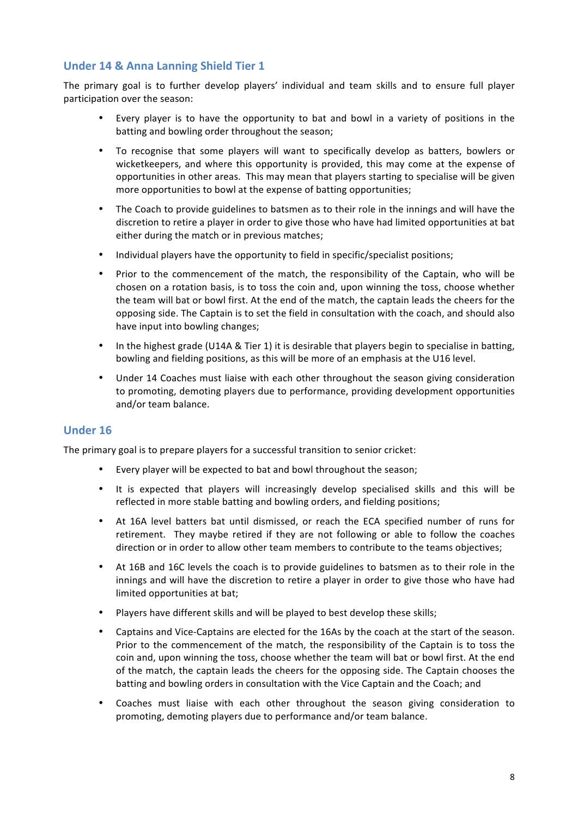### **Under 14 & Anna Lanning Shield Tier 1**

The primary goal is to further develop players' individual and team skills and to ensure full player participation over the season:

- Every player is to have the opportunity to bat and bowl in a variety of positions in the batting and bowling order throughout the season;
- To recognise that some players will want to specifically develop as batters, bowlers or wicketkeepers, and where this opportunity is provided, this may come at the expense of opportunities in other areas. This may mean that players starting to specialise will be given more opportunities to bowl at the expense of batting opportunities;
- The Coach to provide guidelines to batsmen as to their role in the innings and will have the discretion to retire a player in order to give those who have had limited opportunities at bat either during the match or in previous matches;
- Individual players have the opportunity to field in specific/specialist positions;
- Prior to the commencement of the match, the responsibility of the Captain, who will be chosen on a rotation basis, is to toss the coin and, upon winning the toss, choose whether the team will bat or bowl first. At the end of the match, the captain leads the cheers for the opposing side. The Captain is to set the field in consultation with the coach, and should also have input into bowling changes:
- In the highest grade (U14A & Tier 1) it is desirable that players begin to specialise in batting, bowling and fielding positions, as this will be more of an emphasis at the U16 level.
- Under 14 Coaches must liaise with each other throughout the season giving consideration to promoting, demoting players due to performance, providing development opportunities and/or team balance.

#### **Under 16**

The primary goal is to prepare players for a successful transition to senior cricket:

- Every player will be expected to bat and bowl throughout the season;
- It is expected that players will increasingly develop specialised skills and this will be reflected in more stable batting and bowling orders, and fielding positions;
- At 16A level batters bat until dismissed, or reach the ECA specified number of runs for retirement. They maybe retired if they are not following or able to follow the coaches direction or in order to allow other team members to contribute to the teams objectives;
- At 16B and 16C levels the coach is to provide guidelines to batsmen as to their role in the innings and will have the discretion to retire a player in order to give those who have had limited opportunities at bat;
- Players have different skills and will be played to best develop these skills;
- Captains and Vice-Captains are elected for the 16As by the coach at the start of the season. Prior to the commencement of the match, the responsibility of the Captain is to toss the coin and, upon winning the toss, choose whether the team will bat or bowl first. At the end of the match, the captain leads the cheers for the opposing side. The Captain chooses the batting and bowling orders in consultation with the Vice Captain and the Coach; and
- Coaches must liaise with each other throughout the season giving consideration to promoting, demoting players due to performance and/or team balance.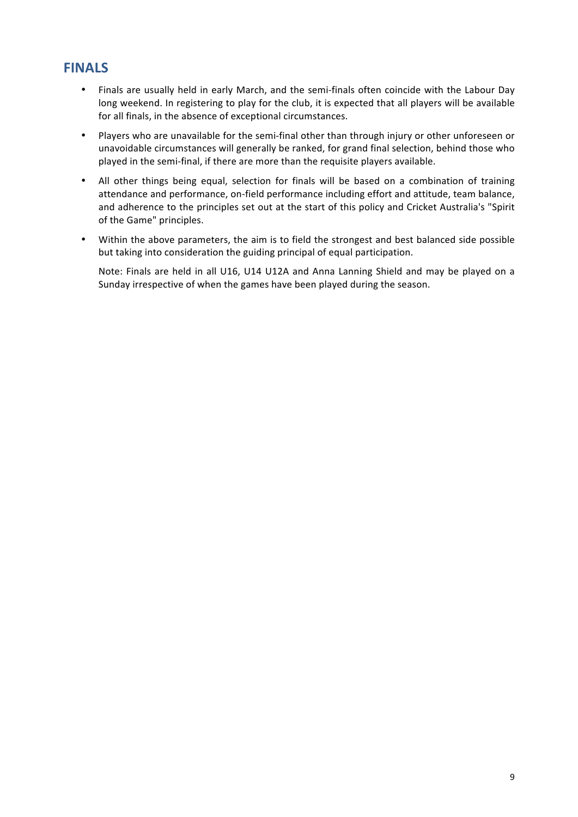## **FINALS**

- Finals are usually held in early March, and the semi-finals often coincide with the Labour Day long weekend. In registering to play for the club, it is expected that all players will be available for all finals, in the absence of exceptional circumstances.
- Players who are unavailable for the semi-final other than through injury or other unforeseen or unavoidable circumstances will generally be ranked, for grand final selection, behind those who played in the semi-final, if there are more than the requisite players available.
- All other things being equal, selection for finals will be based on a combination of training attendance and performance, on-field performance including effort and attitude, team balance, and adherence to the principles set out at the start of this policy and Cricket Australia's "Spirit of the Game" principles.
- Within the above parameters, the aim is to field the strongest and best balanced side possible but taking into consideration the guiding principal of equal participation.

Note: Finals are held in all U16, U14 U12A and Anna Lanning Shield and may be played on a Sunday irrespective of when the games have been played during the season.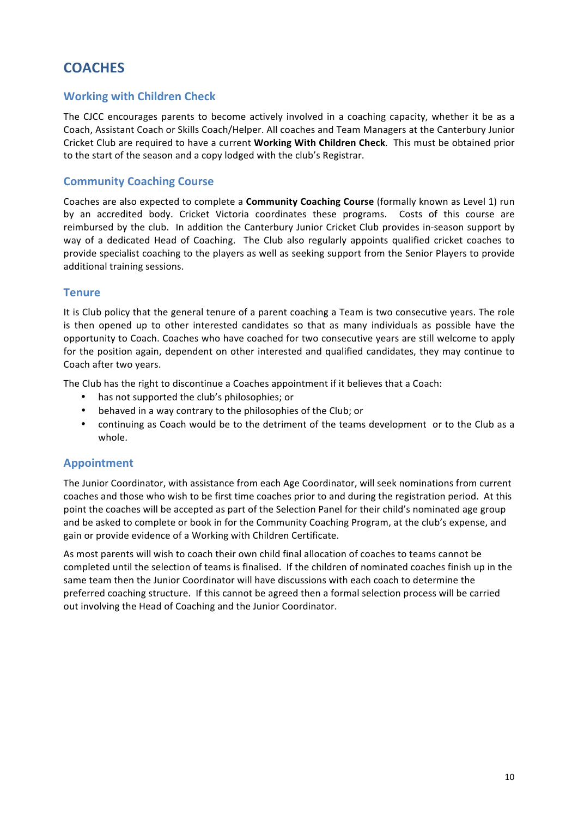## **COACHES**

### **Working with Children Check**

The CJCC encourages parents to become actively involved in a coaching capacity, whether it be as a Coach, Assistant Coach or Skills Coach/Helper. All coaches and Team Managers at the Canterbury Junior Cricket Club are required to have a current Working With Children Check. This must be obtained prior to the start of the season and a copy lodged with the club's Registrar.

### **Community Coaching Course**

Coaches are also expected to complete a **Community Coaching Course** (formally known as Level 1) run by an accredited body. Cricket Victoria coordinates these programs. Costs of this course are reimbursed by the club. In addition the Canterbury Junior Cricket Club provides in-season support by way of a dedicated Head of Coaching. The Club also regularly appoints qualified cricket coaches to provide specialist coaching to the players as well as seeking support from the Senior Players to provide additional training sessions.

#### **Tenure**

It is Club policy that the general tenure of a parent coaching a Team is two consecutive years. The role is then opened up to other interested candidates so that as many individuals as possible have the opportunity to Coach. Coaches who have coached for two consecutive years are still welcome to apply for the position again, dependent on other interested and qualified candidates, they may continue to Coach after two years.

The Club has the right to discontinue a Coaches appointment if it believes that a Coach:

- has not supported the club's philosophies; or
- behaved in a way contrary to the philosophies of the Club; or
- continuing as Coach would be to the detriment of the teams development or to the Club as a whole.

### **Appointment**

The Junior Coordinator, with assistance from each Age Coordinator, will seek nominations from current coaches and those who wish to be first time coaches prior to and during the registration period. At this point the coaches will be accepted as part of the Selection Panel for their child's nominated age group and be asked to complete or book in for the Community Coaching Program, at the club's expense, and gain or provide evidence of a Working with Children Certificate.

As most parents will wish to coach their own child final allocation of coaches to teams cannot be completed until the selection of teams is finalised. If the children of nominated coaches finish up in the same team then the Junior Coordinator will have discussions with each coach to determine the preferred coaching structure. If this cannot be agreed then a formal selection process will be carried out involving the Head of Coaching and the Junior Coordinator.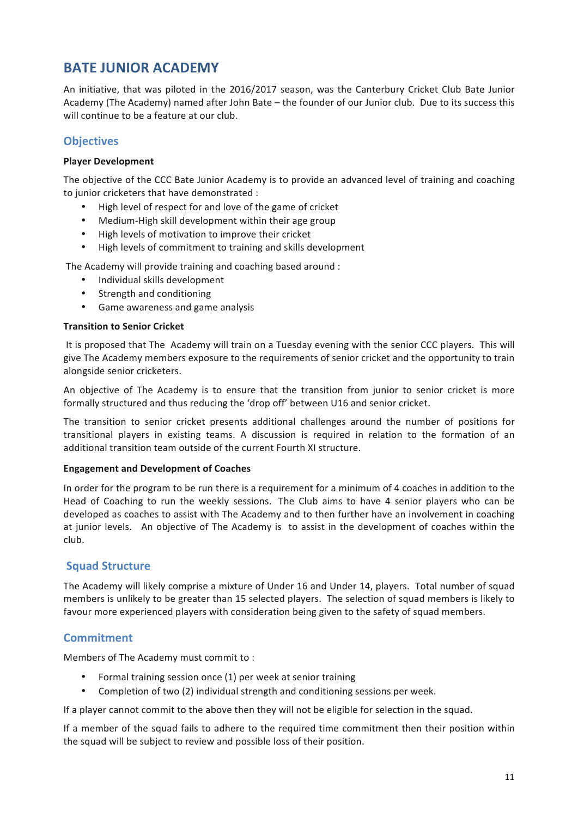## **BATE JUNIOR ACADEMY**

An initiative, that was piloted in the 2016/2017 season, was the Canterbury Cricket Club Bate Junior Academy (The Academy) named after John Bate – the founder of our Junior club. Due to its success this will continue to be a feature at our club.

## **Objectives**

#### **Player Development**

The objective of the CCC Bate Junior Academy is to provide an advanced level of training and coaching to junior cricketers that have demonstrated :

- High level of respect for and love of the game of cricket
- Medium-High skill development within their age group
- High levels of motivation to improve their cricket
- High levels of commitment to training and skills development

The Academy will provide training and coaching based around :

- Individual skills development
- Strength and conditioning
- Game awareness and game analysis

#### **Transition to Senior Cricket**

It is proposed that The Academy will train on a Tuesday evening with the senior CCC players. This will give The Academy members exposure to the requirements of senior cricket and the opportunity to train alongside senior cricketers.

An objective of The Academy is to ensure that the transition from junior to senior cricket is more formally structured and thus reducing the 'drop off' between U16 and senior cricket.

The transition to senior cricket presents additional challenges around the number of positions for transitional players in existing teams. A discussion is required in relation to the formation of an additional transition team outside of the current Fourth XI structure.

#### **Engagement and Development of Coaches**

In order for the program to be run there is a requirement for a minimum of 4 coaches in addition to the Head of Coaching to run the weekly sessions. The Club aims to have 4 senior players who can be developed as coaches to assist with The Academy and to then further have an involvement in coaching at junior levels. An objective of The Academy is to assist in the development of coaches within the club. 

### **Squad Structure**

The Academy will likely comprise a mixture of Under 16 and Under 14, players. Total number of squad members is unlikely to be greater than 15 selected players. The selection of squad members is likely to favour more experienced players with consideration being given to the safety of squad members.

### **Commitment**

Members of The Academy must commit to :

- Formal training session once (1) per week at senior training
- Completion of two (2) individual strength and conditioning sessions per week.

If a player cannot commit to the above then they will not be eligible for selection in the squad.

If a member of the squad fails to adhere to the required time commitment then their position within the squad will be subject to review and possible loss of their position.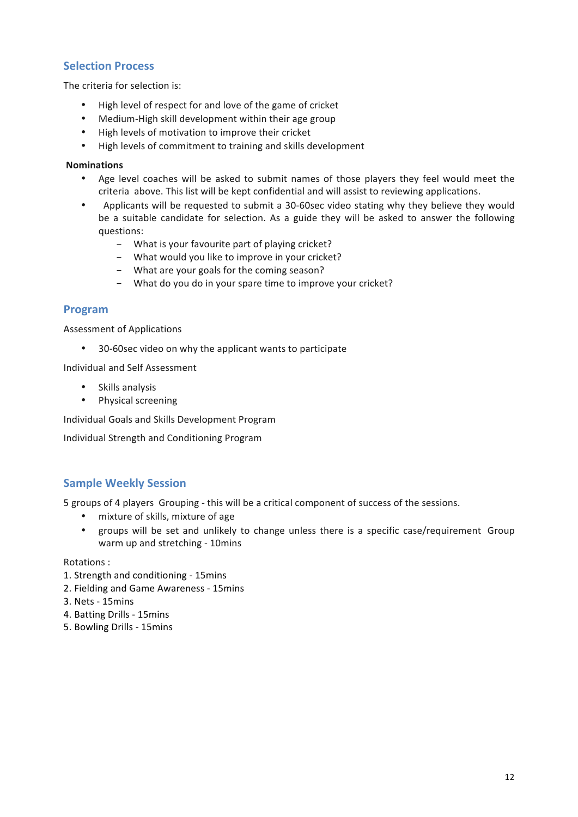### **Selection Process**

The criteria for selection is:

- High level of respect for and love of the game of cricket
- Medium-High skill development within their age group
- High levels of motivation to improve their cricket
- High levels of commitment to training and skills development

#### **Nominations**

- Age level coaches will be asked to submit names of those players they feel would meet the criteria above. This list will be kept confidential and will assist to reviewing applications.
- Applicants will be requested to submit a 30-60sec video stating why they believe they would be a suitable candidate for selection. As a guide they will be asked to answer the following questions:
	- What is your favourite part of playing cricket?
	- What would you like to improve in your cricket?
	- What are your goals for the coming season?
	- What do you do in your spare time to improve your cricket?

#### **Program**

Assessment of Applications

• 30-60sec video on why the applicant wants to participate

Individual and Self Assessment 

- Skills analysis
- Physical screening

Individual Goals and Skills Development Program

Individual Strength and Conditioning Program 

### **Sample Weekly Session**

5 groups of 4 players Grouping - this will be a critical component of success of the sessions.

- mixture of skills, mixture of age
- groups will be set and unlikely to change unless there is a specific case/requirement Group warm up and stretching - 10mins

Rotations :

- 1. Strength and conditioning 15mins
- 2. Fielding and Game Awareness 15mins
- 3. Nets - 15mins
- 4. Batting Drills 15mins
- 5. Bowling Drills 15mins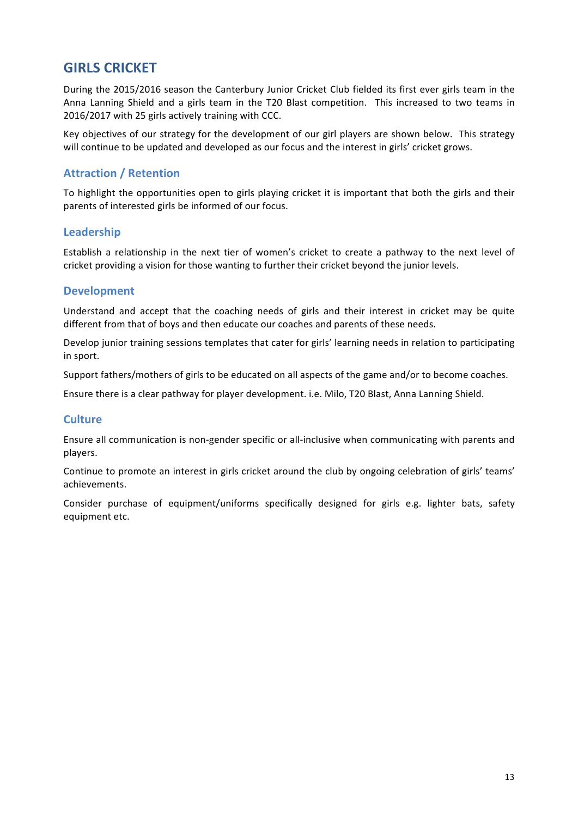## **GIRLS CRICKET**

During the 2015/2016 season the Canterbury Junior Cricket Club fielded its first ever girls team in the Anna Lanning Shield and a girls team in the T20 Blast competition. This increased to two teams in 2016/2017 with 25 girls actively training with CCC.

Key objectives of our strategy for the development of our girl players are shown below. This strategy will continue to be updated and developed as our focus and the interest in girls' cricket grows.

### **Attraction / Retention**

To highlight the opportunities open to girls playing cricket it is important that both the girls and their parents of interested girls be informed of our focus.

### **Leadership**

Establish a relationship in the next tier of women's cricket to create a pathway to the next level of cricket providing a vision for those wanting to further their cricket beyond the junior levels.

#### **Development**

Understand and accept that the coaching needs of girls and their interest in cricket may be quite different from that of boys and then educate our coaches and parents of these needs.

Develop junior training sessions templates that cater for girls' learning needs in relation to participating in sport.

Support fathers/mothers of girls to be educated on all aspects of the game and/or to become coaches.

Ensure there is a clear pathway for player development. i.e. Milo, T20 Blast, Anna Lanning Shield.

#### **Culture**

Ensure all communication is non-gender specific or all-inclusive when communicating with parents and players.

Continue to promote an interest in girls cricket around the club by ongoing celebration of girls' teams' achievements. 

Consider purchase of equipment/uniforms specifically designed for girls e.g. lighter bats, safety equipment etc.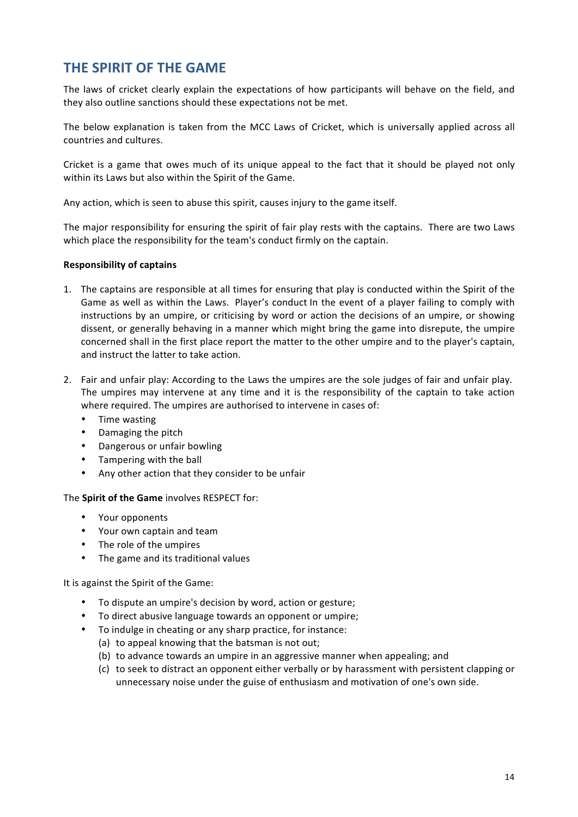## **THE SPIRIT OF THE GAME**

The laws of cricket clearly explain the expectations of how participants will behave on the field, and they also outline sanctions should these expectations not be met.

The below explanation is taken from the MCC Laws of Cricket, which is universally applied across all countries and cultures.

Cricket is a game that owes much of its unique appeal to the fact that it should be played not only within its Laws but also within the Spirit of the Game.

Any action, which is seen to abuse this spirit, causes injury to the game itself.

The major responsibility for ensuring the spirit of fair play rests with the captains. There are two Laws which place the responsibility for the team's conduct firmly on the captain.

#### **Responsibility of captains**

- 1. The captains are responsible at all times for ensuring that play is conducted within the Spirit of the Game as well as within the Laws. Player's conduct In the event of a player failing to comply with instructions by an umpire, or criticising by word or action the decisions of an umpire, or showing dissent, or generally behaving in a manner which might bring the game into disrepute, the umpire concerned shall in the first place report the matter to the other umpire and to the player's captain, and instruct the latter to take action.
- 2. Fair and unfair play: According to the Laws the umpires are the sole judges of fair and unfair play. The umpires may intervene at any time and it is the responsibility of the captain to take action where required. The umpires are authorised to intervene in cases of:
	- Time wasting
	- Damaging the pitch
	- Dangerous or unfair bowling
	- Tampering with the ball
	- Any other action that they consider to be unfair

The **Spirit of the Game** involves RESPECT for:

- Your opponents
- Your own captain and team
- The role of the umpires
- The game and its traditional values

It is against the Spirit of the Game:

- To dispute an umpire's decision by word, action or gesture;
- To direct abusive language towards an opponent or umpire;
- To indulge in cheating or any sharp practice, for instance:
	- (a) to appeal knowing that the batsman is not out;
	- (b) to advance towards an umpire in an aggressive manner when appealing; and
	- (c) to seek to distract an opponent either verbally or by harassment with persistent clapping or unnecessary noise under the guise of enthusiasm and motivation of one's own side.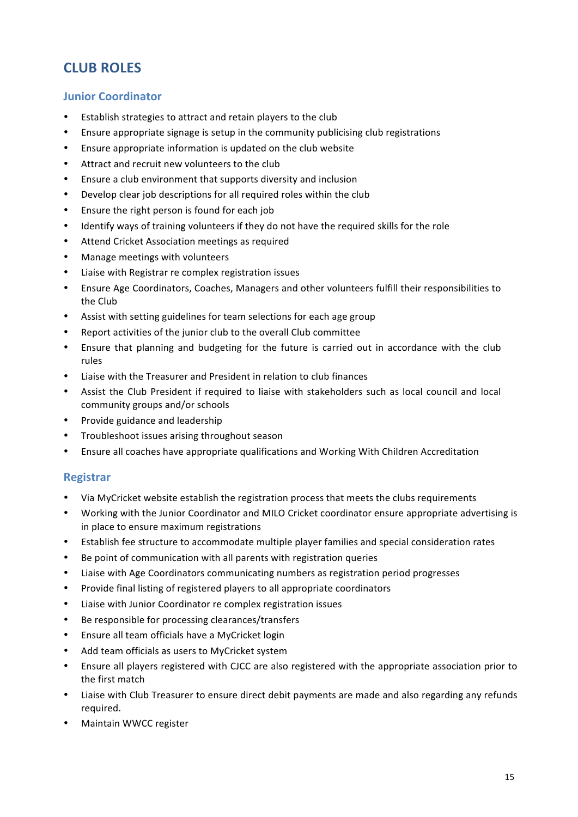## **CLUB ROLES**

#### **Junior Coordinator**

- Establish strategies to attract and retain players to the club
- Ensure appropriate signage is setup in the community publicising club registrations
- Ensure appropriate information is updated on the club website
- Attract and recruit new volunteers to the club
- Ensure a club environment that supports diversity and inclusion
- Develop clear job descriptions for all required roles within the club
- Ensure the right person is found for each job
- Identify ways of training volunteers if they do not have the required skills for the role
- Attend Cricket Association meetings as required
- Manage meetings with volunteers
- Liaise with Registrar re complex registration issues
- Ensure Age Coordinators, Coaches, Managers and other volunteers fulfill their responsibilities to the Club
- Assist with setting guidelines for team selections for each age group
- Report activities of the junior club to the overall Club committee
- Ensure that planning and budgeting for the future is carried out in accordance with the club rules
- Liaise with the Treasurer and President in relation to club finances
- Assist the Club President if required to liaise with stakeholders such as local council and local community groups and/or schools
- Provide guidance and leadership
- Troubleshoot issues arising throughout season
- Ensure all coaches have appropriate qualifications and Working With Children Accreditation

#### **Registrar**

- Via MyCricket website establish the registration process that meets the clubs requirements
- Working with the Junior Coordinator and MILO Cricket coordinator ensure appropriate advertising is in place to ensure maximum registrations
- Establish fee structure to accommodate multiple player families and special consideration rates
- Be point of communication with all parents with registration queries
- Liaise with Age Coordinators communicating numbers as registration period progresses
- Provide final listing of registered players to all appropriate coordinators
- Liaise with Junior Coordinator re complex registration issues
- Be responsible for processing clearances/transfers
- Ensure all team officials have a MyCricket login
- Add team officials as users to MyCricket system
- Ensure all players registered with CJCC are also registered with the appropriate association prior to the first match
- Liaise with Club Treasurer to ensure direct debit payments are made and also regarding any refunds required.
- Maintain WWCC register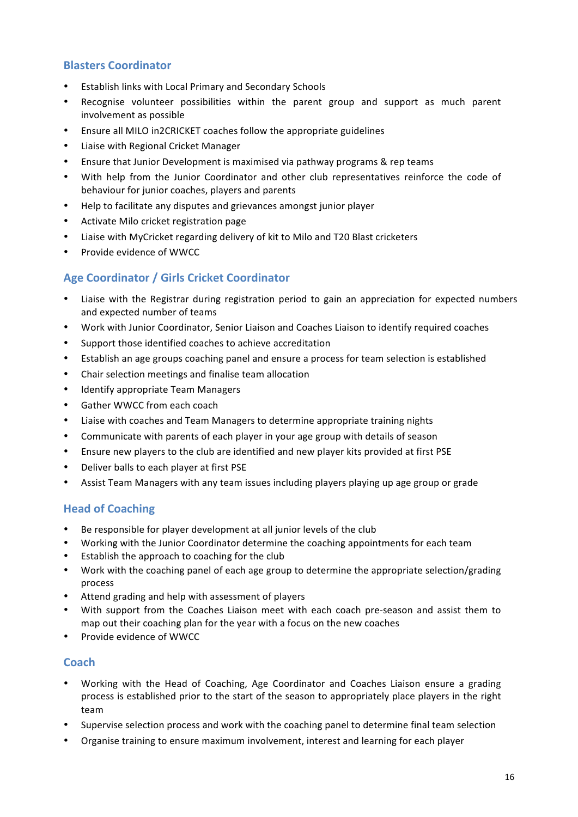## **Blasters Coordinator**

- Establish links with Local Primary and Secondary Schools
- Recognise volunteer possibilities within the parent group and support as much parent involvement as possible
- Ensure all MILO in2CRICKET coaches follow the appropriate guidelines
- Liaise with Regional Cricket Manager
- Ensure that Junior Development is maximised via pathway programs & rep teams
- With help from the Junior Coordinator and other club representatives reinforce the code of behaviour for junior coaches, players and parents
- Help to facilitate any disputes and grievances amongst junior player
- Activate Milo cricket registration page
- Liaise with MyCricket regarding delivery of kit to Milo and T20 Blast cricketers
- Provide evidence of WWCC

### **Age Coordinator / Girls Cricket Coordinator**

- Liaise with the Registrar during registration period to gain an appreciation for expected numbers and expected number of teams
- Work with Junior Coordinator, Senior Liaison and Coaches Liaison to identify required coaches
- Support those identified coaches to achieve accreditation
- Establish an age groups coaching panel and ensure a process for team selection is established
- Chair selection meetings and finalise team allocation
- Identify appropriate Team Managers
- Gather WWCC from each coach
- Liaise with coaches and Team Managers to determine appropriate training nights
- Communicate with parents of each player in your age group with details of season
- Ensure new players to the club are identified and new player kits provided at first PSE
- Deliver balls to each player at first PSE
- Assist Team Managers with any team issues including players playing up age group or grade

### **Head of Coaching**

- Be responsible for player development at all junior levels of the club
- Working with the Junior Coordinator determine the coaching appointments for each team
- Establish the approach to coaching for the club
- Work with the coaching panel of each age group to determine the appropriate selection/grading process
- Attend grading and help with assessment of players
- With support from the Coaches Liaison meet with each coach pre-season and assist them to map out their coaching plan for the year with a focus on the new coaches
- Provide evidence of WWCC

### **Coach**

- Working with the Head of Coaching, Age Coordinator and Coaches Liaison ensure a grading process is established prior to the start of the season to appropriately place players in the right team
- Supervise selection process and work with the coaching panel to determine final team selection
- Organise training to ensure maximum involvement, interest and learning for each player